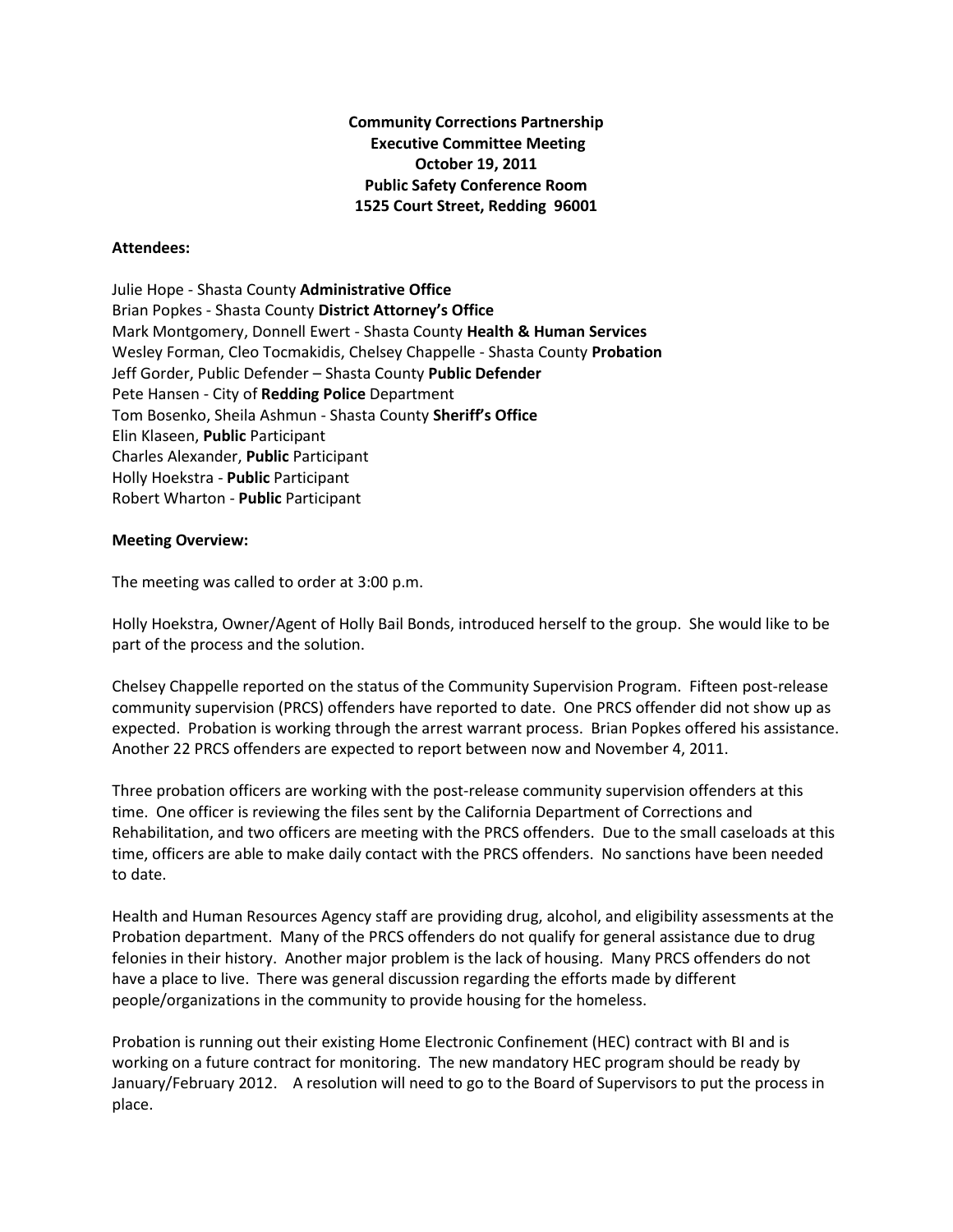**Community Corrections Partnership Executive Committee Meeting October 19, 2011 Public Safety Conference Room 1525 Court Street, Redding 96001**

## **Attendees:**

Julie Hope - Shasta County **Administrative Office** Brian Popkes - Shasta County **District Attorney's Office** Mark Montgomery, Donnell Ewert - Shasta County **Health & Human Services** Wesley Forman, Cleo Tocmakidis, Chelsey Chappelle - Shasta County **Probation** Jeff Gorder, Public Defender – Shasta County **Public Defender** Pete Hansen - City of **Redding Police** Department Tom Bosenko, Sheila Ashmun - Shasta County **Sheriff's Office** Elin Klaseen, **Public** Participant Charles Alexander, **Public** Participant Holly Hoekstra - **Public** Participant Robert Wharton - **Public** Participant

## **Meeting Overview:**

The meeting was called to order at 3:00 p.m.

Holly Hoekstra, Owner/Agent of Holly Bail Bonds, introduced herself to the group. She would like to be part of the process and the solution.

Chelsey Chappelle reported on the status of the Community Supervision Program. Fifteen post-release community supervision (PRCS) offenders have reported to date. One PRCS offender did not show up as expected. Probation is working through the arrest warrant process. Brian Popkes offered his assistance. Another 22 PRCS offenders are expected to report between now and November 4, 2011.

Three probation officers are working with the post-release community supervision offenders at this time. One officer is reviewing the files sent by the California Department of Corrections and Rehabilitation, and two officers are meeting with the PRCS offenders. Due to the small caseloads at this time, officers are able to make daily contact with the PRCS offenders. No sanctions have been needed to date.

Health and Human Resources Agency staff are providing drug, alcohol, and eligibility assessments at the Probation department. Many of the PRCS offenders do not qualify for general assistance due to drug felonies in their history. Another major problem is the lack of housing. Many PRCS offenders do not have a place to live. There was general discussion regarding the efforts made by different people/organizations in the community to provide housing for the homeless.

Probation is running out their existing Home Electronic Confinement (HEC) contract with BI and is working on a future contract for monitoring. The new mandatory HEC program should be ready by January/February 2012. A resolution will need to go to the Board of Supervisors to put the process in place.